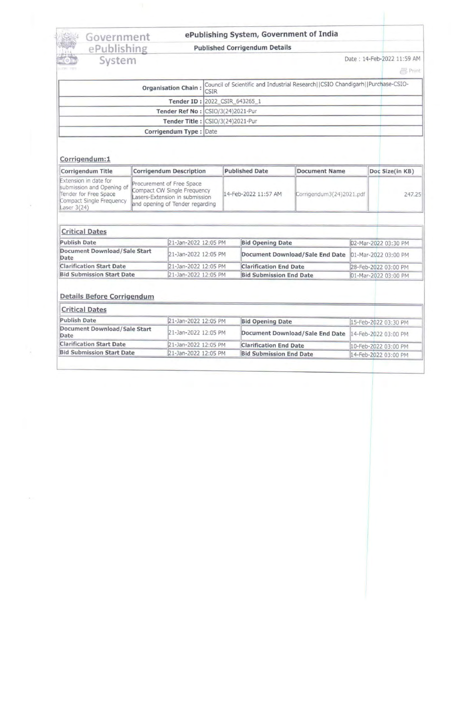# <sup>~</sup>I Government ~ ePublishing System, Government of India .. <sup>~</sup>ePublishing Published Corrigendum Details <sup>t</sup> , ,.

EPUDIISHING PUDISIC COMPLETED Date : 14-Feb-2022 11:59 AM Date : 14-Feb-2022 11:59 AM

| Organisation Chain: Council of Scientific and Industrial Research  CSIO Chandigarh  Purchase-CSIO-<br><b>CSIR</b> |  |
|-------------------------------------------------------------------------------------------------------------------|--|
| Tender ID: 2022_CSIR_643265_1                                                                                     |  |
| Tender Ref No : CSIO/3(24)2021-Pur                                                                                |  |
| Tender Title : CSIO/3(24)2021-Pur                                                                                 |  |
| Corrigendum Type: Date                                                                                            |  |
|                                                                                                                   |  |

### Corrigendum:1

| Corrigendum Title                                                                                                        | <b>Corrigendum Description</b>                                                                                                | <b>Published Date</b> | <b>Document Name</b>     | Doc Size(in KB) |        |
|--------------------------------------------------------------------------------------------------------------------------|-------------------------------------------------------------------------------------------------------------------------------|-----------------------|--------------------------|-----------------|--------|
| Extension in date for<br>submission and Opening of<br>Tender for Free Space<br>Compact Single Frequency<br>Laser $3(24)$ | Procurement of Free Space<br>Compact CW Single Frequency<br>Lasers-Extension in submission<br>and opening of Tender regarding | 14-Feb-2022 11:57 AM  | Corrigendum3(24)2021.pdf |                 | 247.25 |

| <b>Critical Dates</b>                |                      |                                                      |                      |  |  |
|--------------------------------------|----------------------|------------------------------------------------------|----------------------|--|--|
| <b>Publish Date</b>                  | 21-Jan-2022 12:05 PM | <b>Bid Opening Date</b>                              | 02-Mar-2022 03:30 PM |  |  |
| Document Download/Sale Start<br>Date | 21-Jan-2022 12:05 PM | Document Download/Sale End Date 01-Mar-2022 03:00 PM |                      |  |  |
| <b>Clarification Start Date</b>      | 21-Jan-2022 12:05 PM | <b>Clarification End Date</b>                        | 28-Feb-2022 03:00 PM |  |  |
| <b>Bid Submission Start Date</b>     | 21-Jan-2022 12:05 PM | <b>Bid Submission End Date</b>                       | 01-Mar-2022 03:00 PM |  |  |

#### Details Before Corrigendum

| <b>Critical Dates</b>                |                      |                                                      |                      |  |  |
|--------------------------------------|----------------------|------------------------------------------------------|----------------------|--|--|
| <b>Publish Date</b>                  | 21-Jan-2022 12:05 PM | <b>Bid Opening Date</b>                              | 15-Feb-2022 03:30 PM |  |  |
| Document Download/Sale Start<br>Date | 21-Jan-2022 12:05 PM | Document Download/Sale End Date 14-Feb-2022 03:00 PM |                      |  |  |
| <b>Clarification Start Date</b>      | 21-Jan-2022 12:05 PM | <b>Clarification End Date</b>                        | 10-Feb-2022 03:00 PM |  |  |
| <b>Bid Submission Start Date</b>     | 21-Jan-2022 12:05 PM | <b>Bid Submission End Date</b>                       | 14-Feb-2022 03:00 PM |  |  |